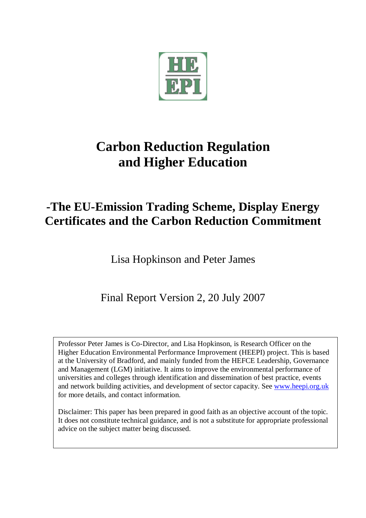

# **Carbon Reduction Regulation and Higher Education**

## **-The EU-Emission Trading Scheme, Display Energy Certificates and the Carbon Reduction Commitment**

Lisa Hopkinson and Peter James

## Final Report Version 2, 20 July 2007

Professor Peter James is Co-Director, and Lisa Hopkinson, is Research Officer on the Higher Education Environmental Performance Improvement (HEEPI) project. This is based at the University of Bradford, and mainly funded from the HEFCE Leadership, Governance and Management (LGM) initiative. It aims to improve the environmental performance of universities and colleges through identification and dissemination of best practice, events and network building activities, and development of sector capacity. See www.heepi.org.uk for more details, and contact information.

Disclaimer: This paper has been prepared in good faith as an objective account of the topic. It does not constitute technical guidance, and is not a substitute for appropriate professional advice on the subject matter being discussed.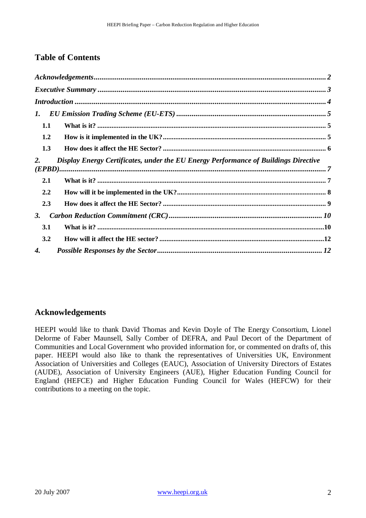### **Table of Contents**

| 1.                                                                                        |  |  |
|-------------------------------------------------------------------------------------------|--|--|
| 1.1                                                                                       |  |  |
| 1.2                                                                                       |  |  |
| 1.3                                                                                       |  |  |
| Display Energy Certificates, under the EU Energy Performance of Buildings Directive<br>2. |  |  |
| 2.1                                                                                       |  |  |
| 2.2                                                                                       |  |  |
| 2.3                                                                                       |  |  |
| 3.                                                                                        |  |  |
| 3.1                                                                                       |  |  |
| 3.2                                                                                       |  |  |
| 4.                                                                                        |  |  |

#### **Acknowledgements**

HEEPI would like to thank David Thomas and Kevin Doyle of The Energy Consortium, Lionel Delorme of Faber Maunsell, Sally Comber of DEFRA, and Paul Decort of the Department of Communities and Local Government who provided information for, or commented on drafts of, this paper. HEEPI would also like to thank the representatives of Universities UK, Environment Association of Universities and Colleges (EAUC), Association of University Directors of Estates (AUDE), Association of University Engineers (AUE), Higher Education Funding Council for England (HEFCE) and Higher Education Funding Council for Wales (HEFCW) for their contributions to a meeting on the topic.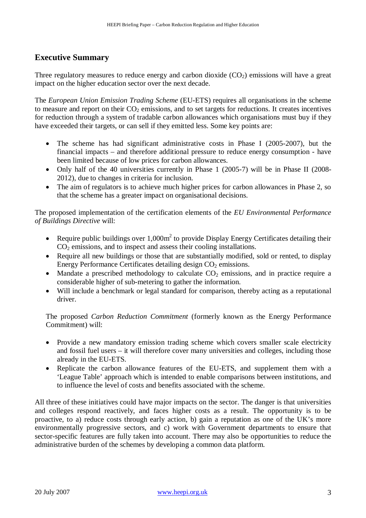### **Executive Summary**

Three regulatory measures to reduce energy and carbon dioxide  $(CO<sub>2</sub>)$  emissions will have a great impact on the higher education sector over the next decade.

The *European Union Emission Trading Scheme* (EU-ETS) requires all organisations in the scheme to measure and report on their  $CO<sub>2</sub>$  emissions, and to set targets for reductions. It creates incentives for reduction through a system of tradable carbon allowances which organisations must buy if they have exceeded their targets, or can sell if they emitted less. Some key points are:

- The scheme has had significant administrative costs in Phase I (2005-2007), but the financial impacts – and therefore additional pressure to reduce energy consumption - have been limited because of low prices for carbon allowances.
- Only half of the 40 universities currently in Phase 1 (2005-7) will be in Phase II (2008-2012), due to changes in criteria for inclusion.
- The aim of regulators is to achieve much higher prices for carbon allowances in Phase 2, so that the scheme has a greater impact on organisational decisions.

The proposed implementation of the certification elements of the *EU Environmental Performance of Buildings Directive* will:

- Require public buildings over  $1,000m^2$  to provide Display Energy Certificates detailing their  $CO<sub>2</sub>$  emissions, and to inspect and assess their cooling installations.
- Require all new buildings or those that are substantially modified, sold or rented, to display Energy Performance Certificates detailing design  $CO<sub>2</sub>$  emissions.
- Mandate a prescribed methodology to calculate  $CO<sub>2</sub>$  emissions, and in practice require a considerable higher of sub-metering to gather the information.
- Will include a benchmark or legal standard for comparison, thereby acting as a reputational driver.

The proposed *Carbon Reduction Commitment* (formerly known as the Energy Performance Commitment) will:

- Provide a new mandatory emission trading scheme which covers smaller scale electricity and fossil fuel users – it will therefore cover many universities and colleges, including those already in the EU-ETS.
- Replicate the carbon allowance features of the EU-ETS, and supplement them with a 'League Table' approach which is intended to enable comparisons between institutions, and to influence the level of costs and benefits associated with the scheme.

All three of these initiatives could have major impacts on the sector. The danger is that universities and colleges respond reactively, and faces higher costs as a result. The opportunity is to be proactive, to a) reduce costs through early action, b) gain a reputation as one of the UK's more environmentally progressive sectors, and c) work with Government departments to ensure that sector-specific features are fully taken into account. There may also be opportunities to reduce the administrative burden of the schemes by developing a common data platform.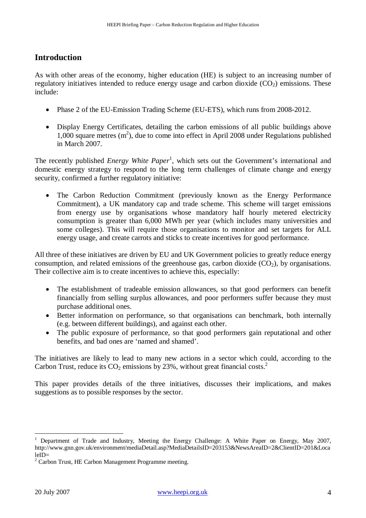### **Introduction**

As with other areas of the economy, higher education (HE) is subject to an increasing number of regulatory initiatives intended to reduce energy usage and carbon dioxide  $(CO<sub>2</sub>)$  emissions. These include:

- Phase 2 of the EU-Emission Trading Scheme (EU-ETS), which runs from 2008-2012.
- Display Energy Certificates, detailing the carbon emissions of all public buildings above  $1,000$  square metres  $(m^2)$ , due to come into effect in April 2008 under Regulations published in March 2007.

The recently published *Energy White Paper*<sup>1</sup>, which sets out the Government's international and domestic energy strategy to respond to the long term challenges of climate change and energy security, confirmed a further regulatory initiative:

• The Carbon Reduction Commitment (previously known as the Energy Performance Commitment), a UK mandatory cap and trade scheme. This scheme will target emissions from energy use by organisations whose mandatory half hourly metered electricity consumption is greater than 6,000 MWh per year (which includes many universities and some colleges). This will require those organisations to monitor and set targets for ALL energy usage, and create carrots and sticks to create incentives for good performance.

All three of these initiatives are driven by EU and UK Government policies to greatly reduce energy consumption, and related emissions of the greenhouse gas, carbon dioxide  $(CO<sub>2</sub>)$ , by organisations. Their collective aim is to create incentives to achieve this, especially:

- The establishment of tradeable emission allowances, so that good performers can benefit financially from selling surplus allowances, and poor performers suffer because they must purchase additional ones.
- Better information on performance, so that organisations can benchmark, both internally (e.g. between different buildings), and against each other.
- The public exposure of performance, so that good performers gain reputational and other benefits, and bad ones are 'named and shamed'.

The initiatives are likely to lead to many new actions in a sector which could, according to the Carbon Trust, reduce its  $CO_2$  emissions by 23%, without great financial costs.<sup>2</sup>

This paper provides details of the three initiatives, discusses their implications, and makes suggestions as to possible responses by the sector.

<sup>1</sup> Department of Trade and Industry, Meeting the Energy Challenge: A White Paper on Energy, May 2007, http://www.gnn.gov.uk/environment/mediaDetail.asp?MediaDetailsID=203153&NewsAreaID=2&ClientID=201&Loca leID=

<sup>&</sup>lt;sup>2</sup> Carbon Trust, HE Carbon Management Programme meeting.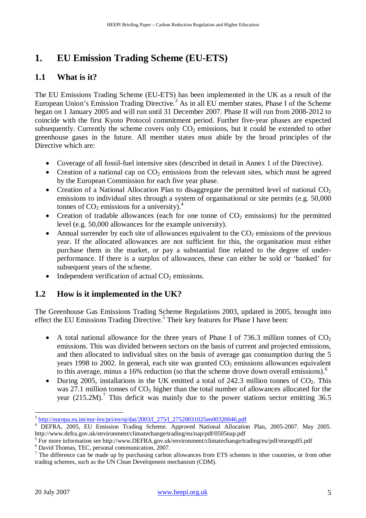### **1. EU Emission Trading Scheme (EU-ETS)**

### **1.1 What is it?**

The EU Emissions Trading Scheme (EU-ETS) has been implemented in the UK as a result of the European Union's Emission Trading Directive.<sup>3</sup> As in all EU member states, Phase I of the Scheme began on 1 January 2005 and will run until 31 December 2007. Phase II will run from 2008-2012 to coincide with the first Kyoto Protocol commitment period. Further five-year phases are expected subsequently. Currently the scheme covers only  $CO<sub>2</sub>$  emissions, but it could be extended to other greenhouse gases in the future. All member states must abide by the broad principles of the Directive which are:

- Coverage of all fossil-fuel intensive sites (described in detail in Annex 1 of the Directive).
- Creation of a national cap on  $CO<sub>2</sub>$  emissions from the relevant sites, which must be agreed by the European Commission for each five year phase.
- Creation of a National Allocation Plan to disaggregate the permitted level of national  $CO<sub>2</sub>$ emissions to individual sites through a system of organisational or site permits (e.g. 50,000 tonnes of  $CO<sub>2</sub>$  emissions for a university).<sup>4</sup>
- Creation of tradable allowances (each for one tonne of  $CO<sub>2</sub>$  emissions) for the permitted level (e.g. 50,000 allowances for the example university).
- Annual surrender by each site of allowances equivalent to the  $CO<sub>2</sub>$  emissions of the previous year. If the allocated allowances are not sufficient for this, the organisation must either purchase them in the market, or pay a substantial fine related to the degree of underperformance. If there is a surplus of allowances, these can either be sold or 'banked' for subsequent years of the scheme.
- Independent verification of actual  $CO<sub>2</sub>$  emissions.

### **1.2 How is it implemented in the UK?**

The Greenhouse Gas Emissions Trading Scheme Regulations 2003, updated in 2005, brought into effect the EU Emissions Trading Directive.<sup>5</sup> Their key features for Phase I have been:

- A total national allowance for the three years of Phase I of 736.3 million tonnes of  $CO<sub>2</sub>$ emissions. This was divided between sectors on the basis of current and projected emissions, and then allocated to individual sites on the basis of average gas consumption during the 5 years 1998 to 2002. In general, each site was granted  $CO<sub>2</sub>$  emissions allowances equivalent to this average, minus a 16% reduction (so that the scheme drove down overall emissions).<sup>6</sup>
- During 2005, installations in the UK emitted a total of 242.3 million tonnes of  $CO<sub>2</sub>$ . This was 27.1 million tonnes of  $CO<sub>2</sub>$  higher than the total number of allowances allocated for the year  $(215.2M)$ .<sup>7</sup> This deficit was mainly due to the power stations sector emitting 36.5

 $\overline{a}$ <sup>3</sup> http://europa.eu.int/eur-lex/pri/en/oj/dat/2003/l\_275/l\_27520031025en00320046.pdf

<sup>&</sup>lt;sup>4</sup> DEFRA, 2005, EU Emission Trading Scheme. Approved National Allocation Plan, 2005-2007. May 2005. http://www.defra.gov.uk/environment/climatechange/trading/eu/nap/pdf/0505nap.pdf

<sup>&</sup>lt;sup>5</sup> For more information see http://www.DEFRA.gov.uk/environment/climatechange/trading/eu/pdf/etsregs05.pdf

<sup>6</sup> David Thomas, TEC, personal communication, 2007.

<sup>&</sup>lt;sup>7</sup> The difference can be made up by purchasing carbon allowances from ETS schemes in ither countries, or from other trading schemes, such as the UN Clean Development mechanism (CDM).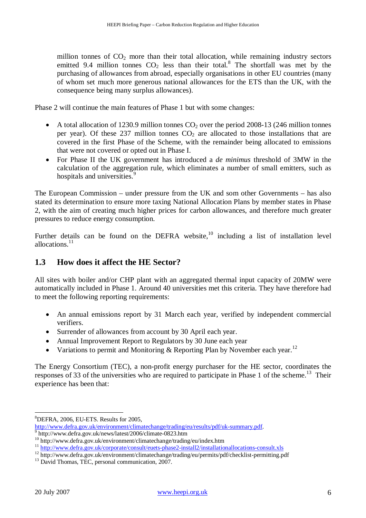million tonnes of  $CO<sub>2</sub>$  more than their total allocation, while remaining industry sectors emitted 9.4 million tonnes  $CO<sub>2</sub>$  less than their total.<sup>8</sup> The shortfall was met by the purchasing of allowances from abroad, especially organisations in other EU countries (many of whom set much more generous national allowances for the ETS than the UK, with the consequence being many surplus allowances).

Phase 2 will continue the main features of Phase 1 but with some changes:

- A total allocation of 1230.9 million tonnes  $CO<sub>2</sub>$  over the period 2008-13 (246 million tonnes per year). Of these 237 million tonnes  $CO<sub>2</sub>$  are allocated to those installations that are covered in the first Phase of the Scheme, with the remainder being allocated to emissions that were not covered or opted out in Phase I.
- For Phase II the UK government has introduced a *de minimus* threshold of 3MW in the calculation of the aggregation rule, which eliminates a number of small emitters, such as hospitals and universities.<sup>9</sup>

The European Commission – under pressure from the UK and som other Governments – has also stated its determination to ensure more taxing National Allocation Plans by member states in Phase 2, with the aim of creating much higher prices for carbon allowances, and therefore much greater pressures to reduce energy consumption.

Further details can be found on the DEFRA website, $10$  including a list of installation level allocations.<sup>11</sup>

### **1.3 How does it affect the HE Sector?**

All sites with boiler and/or CHP plant with an aggregated thermal input capacity of 20MW were automatically included in Phase 1. Around 40 universities met this criteria. They have therefore had to meet the following reporting requirements:

- An annual emissions report by 31 March each year, verified by independent commercial verifiers.
- Surrender of allowances from account by 30 April each year.
- Annual Improvement Report to Regulators by 30 June each year
- Variations to permit and Monitoring & Reporting Plan by November each year.<sup>12</sup>

The Energy Consortium (TEC), a non-profit energy purchaser for the HE sector, coordinates the responses of 33 of the universities who are required to participate in Phase 1 of the scheme.<sup>13</sup> Their experience has been that:

 $\overline{a}$  ${}^{8}$ DEFRA, 2006, EU-ETS. Results for 2005,

http://www.defra.gov.uk/environment/climatechange/trading/eu/results/pdf/uk-summary.pdf.

<sup>9</sup> http://www.defra.gov.uk/news/latest/2006/climate-0823.htm

<sup>10</sup> http://www.defra.gov.uk/environment/climatechange/trading/eu/index.htm

<sup>&</sup>lt;sup>11</sup> http://www.defra.gov.uk/corporate/consult/euets-phase2-install2/installationallocations-consult.xls

<sup>&</sup>lt;sup>12</sup> http://www.defra.gov.uk/environment/climatechange/trading/eu/permits/pdf/checklist-permitting.pdf

<sup>&</sup>lt;sup>13</sup> David Thomas, TEC, personal communication, 2007.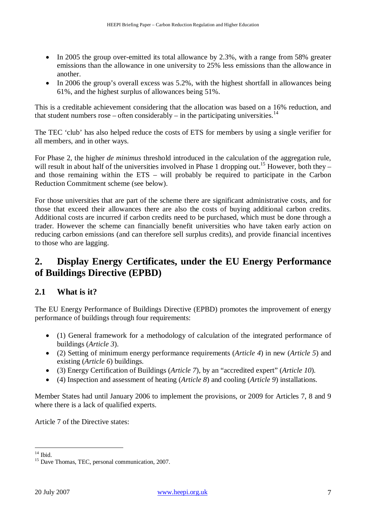- In 2005 the group over-emitted its total allowance by 2.3%, with a range from 58% greater emissions than the allowance in one university to 25% less emissions than the allowance in another.
- In 2006 the group's overall excess was 5.2%, with the highest shortfall in allowances being 61%, and the highest surplus of allowances being 51%.

This is a creditable achievement considering that the allocation was based on a 16% reduction, and that student numbers rose – often considerably – in the participating universities.<sup>14</sup>

The TEC 'club' has also helped reduce the costs of ETS for members by using a single verifier for all members, and in other ways.

For Phase 2, the higher *de minimus* threshold introduced in the calculation of the aggregation rule, will result in about half of the universities involved in Phase 1 dropping out.<sup>15</sup> However, both they – and those remaining within the ETS – will probably be required to participate in the Carbon Reduction Commitment scheme (see below).

For those universities that are part of the scheme there are significant administrative costs, and for those that exceed their allowances there are also the costs of buying additional carbon credits. Additional costs are incurred if carbon credits need to be purchased, which must be done through a trader. However the scheme can financially benefit universities who have taken early action on reducing carbon emissions (and can therefore sell surplus credits), and provide financial incentives to those who are lagging.

### **2. Display Energy Certificates, under the EU Energy Performance of Buildings Directive (EPBD)**

### **2.1 What is it?**

The EU Energy Performance of Buildings Directive (EPBD) promotes the improvement of energy performance of buildings through four requirements:

- (1) General framework for a methodology of calculation of the integrated performance of buildings (*Article 3*).
- (2) Setting of minimum energy performance requirements (*Article 4*) in new (*Article 5*) and existing (*Article 6*) buildings.
- (3) Energy Certification of Buildings (*Article 7*), by an "accredited expert" (*Article 10*).
- (4) Inspection and assessment of heating (*Article 8*) and cooling (*Article 9*) installations.

Member States had until January 2006 to implement the provisions, or 2009 for Articles 7, 8 and 9 where there is a lack of qualified experts.

Article 7 of the Directive states:

 $14$  Ibid.

<sup>&</sup>lt;sup>15</sup> Dave Thomas, TEC, personal communication, 2007.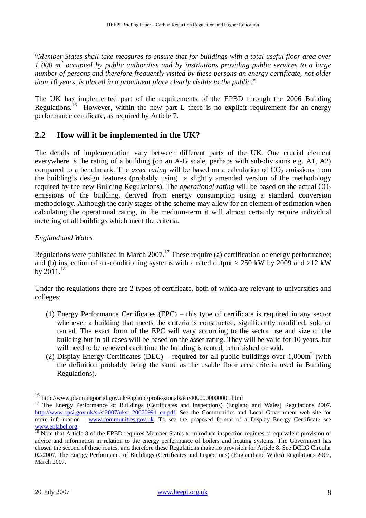"*Member States shall take measures to ensure that for buildings with a total useful floor area over 1 000 m<sup>2</sup> occupied by public authorities and by institutions providing public services to a large number of persons and therefore frequently visited by these persons an energy certificate, not older than 10 years, is placed in a prominent place clearly visible to the public*."

The UK has implemented part of the requirements of the EPBD through the 2006 Building Regulations.<sup>16</sup> However, within the new part L there is no explicit requirement for an energy performance certificate, as required by Article 7.

### **2.2 How will it be implemented in the UK?**

The details of implementation vary between different parts of the UK. One crucial element everywhere is the rating of a building (on an A-G scale, perhaps with sub-divisions e.g. A1, A2) compared to a benchmark. The *asset rating* will be based on a calculation of  $CO<sub>2</sub>$  emissions from the building's design features (probably using a slightly amended version of the methodology required by the new Building Regulations). The *operational rating* will be based on the actual  $CO<sub>2</sub>$ emissions of the building, derived from energy consumption using a standard conversion methodology. Although the early stages of the scheme may allow for an element of estimation when calculating the operational rating, in the medium-term it will almost certainly require individual metering of all buildings which meet the criteria.

#### *England and Wales*

Regulations were published in March 2007.<sup>17</sup> These require (a) certification of energy performance; and (b) inspection of air-conditioning systems with a rated output  $> 250$  kW by 2009 and  $>12$  kW by  $2011.<sup>18</sup>$ 

Under the regulations there are 2 types of certificate, both of which are relevant to universities and colleges:

- (1) Energy Performance Certificates (EPC) this type of certificate is required in any sector whenever a building that meets the criteria is constructed, significantly modified, sold or rented. The exact form of the EPC will vary according to the sector use and size of the building but in all cases will be based on the asset rating. They will be valid for 10 years, but will need to be renewed each time the building is rented, refurbished or sold.
- (2) Display Energy Certificates (DEC) required for all public buildings over  $1,000\text{m}^2$  (with the definition probably being the same as the usable floor area criteria used in Building Regulations).

<sup>16</sup> http://www.planningportal.gov.uk/england/professionals/en/4000000000001.html

<sup>&</sup>lt;sup>17</sup> The Energy Performance of Buildings (Certificates and Inspections) (England and Wales) Regulations 2007. http://www.opsi.gov.uk/si/si2007/uksi\_20070991\_en.pdf. See the Communities and Local Government web site for more information - www.communities.gov.uk. To see the proposed format of a Display Energy Certificate see www.eplabel.org.

 $18$  Note that Article 8 of the EPBD requires Member States to introduce inspection regimes or equivalent provision of advice and information in relation to the energy performance of boilers and heating systems. The Government has chosen the second of these routes, and therefore these Regulations make no provision for Article 8. See DCLG Circular 02/2007, The Energy Performance of Buildings (Certificates and Inspections) (England and Wales) Regulations 2007, March 2007.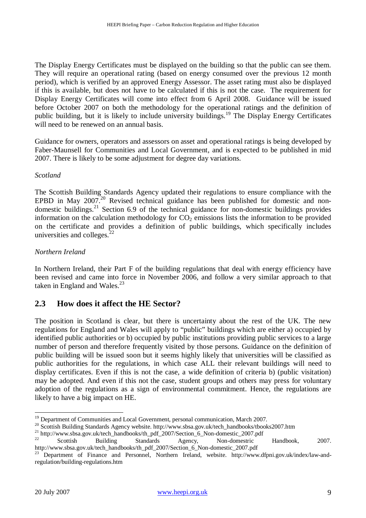The Display Energy Certificates must be displayed on the building so that the public can see them. They will require an operational rating (based on energy consumed over the previous 12 month period), which is verified by an approved Energy Assessor. The asset rating must also be displayed if this is available, but does not have to be calculated if this is not the case. The requirement for Display Energy Certificates will come into effect from 6 April 2008. Guidance will be issued before October 2007 on both the methodology for the operational ratings and the definition of public building, but it is likely to include university buildings.<sup>19</sup> The Display Energy Certificates will need to be renewed on an annual basis.

Guidance for owners, operators and assessors on asset and operational ratings is being developed by Faber-Maunsell for Communities and Local Government, and is expected to be published in mid 2007. There is likely to be some adjustment for degree day variations.

*Scotland* 

The Scottish Building Standards Agency updated their regulations to ensure compliance with the EPBD in May 2007.<sup>20</sup> Revised technical guidance has been published for domestic and nondomestic buildings.<sup>21</sup> Section 6.9 of the technical guidance for non-domestic buildings provides information on the calculation methodology for  $CO<sub>2</sub>$  emissions lists the information to be provided on the certificate and provides a definition of public buildings, which specifically includes universities and colleges. $^{22}$ 

#### *Northern Ireland*

In Northern Ireland, their Part F of the building regulations that deal with energy efficiency have been revised and came into force in November 2006, and follow a very similar approach to that taken in England and Wales. $^{23}$ 

#### **2.3 How does it affect the HE Sector?**

The position in Scotland is clear, but there is uncertainty about the rest of the UK. The new regulations for England and Wales will apply to "public" buildings which are either a) occupied by identified public authorities or b) occupied by public institutions providing public services to a large number of person and therefore frequently visited by those persons. Guidance on the definition of public building will be issued soon but it seems highly likely that universities will be classified as public authorities for the regulations, in which case ALL their relevant buildings will need to display certificates. Even if this is not the case, a wide definition of criteria b) (public visitation) may be adopted. And even if this not the case, student groups and others may press for voluntary adoption of the regulations as a sign of environmental commitment. Hence, the regulations are likely to have a big impact on HE.

 $\overline{a}$ <sup>19</sup> Department of Communities and Local Government, personal communication, March 2007.

<sup>&</sup>lt;sup>20</sup> Scottish Building Standards Agency website. http://www.sbsa.gov.uk/tech\_handbooks/tbooks2007.htm

<sup>&</sup>lt;sup>21</sup> http://www.sbsa.gov.uk/tech\_handbooks/th\_pdf\_2007/Section\_6\_Non-domestic\_2007.pdf<br>2<sup>2</sup> Section Puilding Standards Aggress New domestic

<sup>22</sup> Scottish Building Standards Agency, Non-domestric Handbook, 2007. http://www.sbsa.gov.uk/tech\_handbooks/th\_pdf\_2007/Section\_6\_Non-domestic\_2007.pdf

<sup>&</sup>lt;sup>23</sup> Department of Finance and Personnel, Northern Ireland, website. http://www.dfpni.gov.uk/index/law-andregulation/building-regulations.htm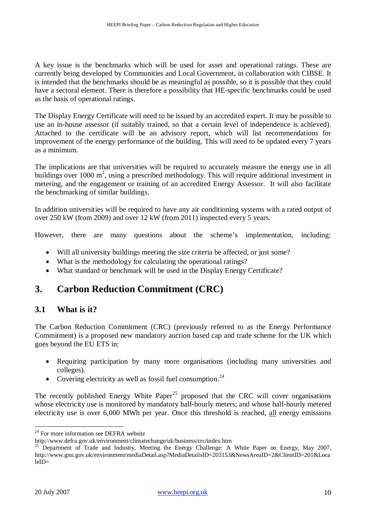A key issue is the benchmarks which will be used for asset and operational ratings. These are currently being developed by Communities and Local Government, in collaboration with CIBSE. It is intended that the benchmarks should be as meaningful as possible, so it is possible that they could have a sectoral element. There is therefore a possibility that HE-specific benchmarks could be used as the basis of operational ratings.

The Display Energy Certificate will need to be issued by an accredited expert. It may be possible to use an in-house assessor (if suitably trained, so that a certain level of independence is achieved). Attached to the certificate will be an advisory report, which will list recommendations for improvement of the energy performance of the building. This will need to be updated every 7 years as a minimum.

The implications are that universities will be required to accurately measure the energy use in all buildings over 1000  $m^2$ , using a prescribed methodology. This will require additional investment in metering, and the engagement or training of an accredited Energy Assessor. It will also facilitate the benchmarking of similar buildings.

In addition universities will be required to have any air conditioning systems with a rated output of over 250 kW (from 2009) and over 12 kW (from 2011) inspected every 5 years.

However, there are many questions about the scheme's implementation, including:

- Will all university buildings meeting the size criteria be affected, or just some?
- What is the methodology for calculating the operational ratings?
- What standard or benchmark will be used in the Display Energy Certificate?

### **3. Carbon Reduction Commitment (CRC)**

### **3.1 What is it?**

The Carbon Reduction Commitment (CRC) (previously referred to as the Energy Performance Commitment) is a proposed new mandatory auction based cap and trade scheme for the UK which goes beyond the EU ETS in:

- Requiring participation by many more organisations (including many universities and colleges).
- Covering electricity as well as fossil fuel consumption.<sup>24</sup>

The recently published Energy White Paper<sup>25</sup> proposed that the CRC will cover organisations whose electricity use is monitored by mandatory half-hourly meters; and whose half-hourly metered electricity use is over 6,000 MWh per year. Once this threshold is reached, all energy emissions

 $24$  For more information see DEFRA website

http://www.defra.gov.uk/environment/climatechange/uk/business/crc/index.htm

<sup>&</sup>lt;sup>25</sup> Department of Trade and Industry, Meeting the Energy Challenge: A White Paper on Energy, May 2007, http://www.gnn.gov.uk/environment/mediaDetail.asp?MediaDetailsID=203153&NewsAreaID=2&ClientID=201&Loca  $leID =$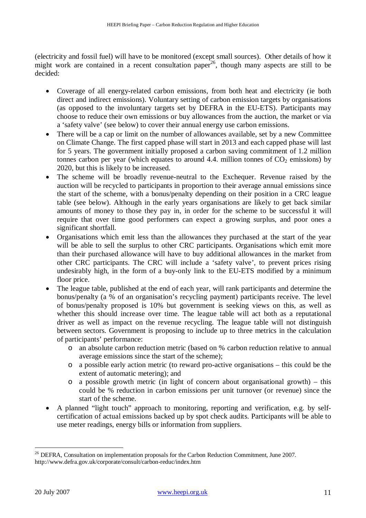(electricity and fossil fuel) will have to be monitored (except small sources). Other details of how it might work are contained in a recent consultation paper<sup>26</sup>, though many aspects are still to be decided:

- Coverage of all energy-related carbon emissions, from both heat and electricity (ie both direct and indirect emissions). Voluntary setting of carbon emission targets by organisations (as opposed to the involuntary targets set by DEFRA in the EU-ETS). Participants may choose to reduce their own emissions or buy allowances from the auction, the market or via a 'safety valve' (see below) to cover their annual energy use carbon emissions.
- There will be a cap or limit on the number of allowances available, set by a new Committee on Climate Change. The first capped phase will start in 2013 and each capped phase will last for 5 years. The government initially proposed a carbon saving commitment of 1.2 million tonnes carbon per year (which equates to around 4.4. million tonnes of  $CO<sub>2</sub>$  emissions) by 2020, but this is likely to be increased.
- The scheme will be broadly revenue-neutral to the Exchequer. Revenue raised by the auction will be recycled to participants in proportion to their average annual emissions since the start of the scheme, with a bonus/penalty depending on their position in a CRC league table (see below). Although in the early years organisations are likely to get back similar amounts of money to those they pay in, in order for the scheme to be successful it will require that over time good performers can expect a growing surplus, and poor ones a significant shortfall.
- Organisations which emit less than the allowances they purchased at the start of the year will be able to sell the surplus to other CRC participants. Organisations which emit more than their purchased allowance will have to buy additional allowances in the market from other CRC participants. The CRC will include a 'safety valve', to prevent prices rising undesirably high, in the form of a buy-only link to the EU-ETS modified by a minimum floor price.
- The league table, published at the end of each year, will rank participants and determine the bonus/penalty (a % of an organisation's recycling payment) participants receive. The level of bonus/penalty proposed is 10% but government is seeking views on this, as well as whether this should increase over time. The league table will act both as a reputational driver as well as impact on the revenue recycling. The league table will not distinguish between sectors. Government is proposing to include up to three metrics in the calculation of participants' performance:
	- o an absolute carbon reduction metric (based on % carbon reduction relative to annual average emissions since the start of the scheme);
	- o a possible early action metric (to reward pro-active organisations this could be the extent of automatic metering); and
	- o a possible growth metric (in light of concern about organisational growth) this could be % reduction in carbon emissions per unit turnover (or revenue) since the start of the scheme.
- A planned "light touch" approach to monitoring, reporting and verification, e.g. by selfcertification of actual emissions backed up by spot check audits. Participants will be able to use meter readings, energy bills or information from suppliers.

<sup>&</sup>lt;sup>26</sup> DEFRA, Consultation on implementation proposals for the Carbon Reduction Commitment, June 2007. http://www.defra.gov.uk/corporate/consult/carbon-reduc/index.htm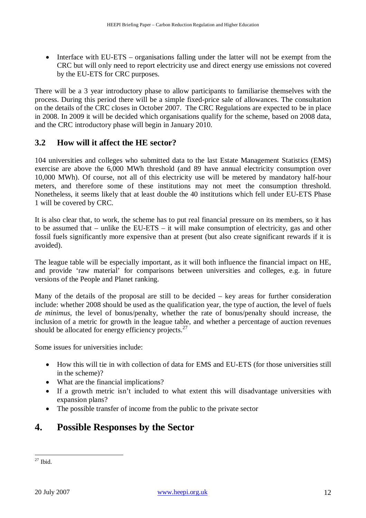• Interface with EU-ETS – organisations falling under the latter will not be exempt from the CRC but will only need to report electricity use and direct energy use emissions not covered by the EU-ETS for CRC purposes.

There will be a 3 year introductory phase to allow participants to familiarise themselves with the process. During this period there will be a simple fixed-price sale of allowances. The consultation on the details of the CRC closes in October 2007. The CRC Regulations are expected to be in place in 2008. In 2009 it will be decided which organisations qualify for the scheme, based on 2008 data, and the CRC introductory phase will begin in January 2010.

### **3.2 How will it affect the HE sector?**

104 universities and colleges who submitted data to the last Estate Management Statistics (EMS) exercise are above the 6,000 MWh threshold (and 89 have annual electricity consumption over 10,000 MWh). Of course, not all of this electricity use will be metered by mandatory half-hour meters, and therefore some of these institutions may not meet the consumption threshold. Nonetheless, it seems likely that at least double the 40 institutions which fell under EU-ETS Phase 1 will be covered by CRC.

It is also clear that, to work, the scheme has to put real financial pressure on its members, so it has to be assumed that – unlike the EU-ETS – it will make consumption of electricity, gas and other fossil fuels significantly more expensive than at present (but also create significant rewards if it is avoided).

The league table will be especially important, as it will both influence the financial impact on HE, and provide 'raw material' for comparisons between universities and colleges, e.g. in future versions of the People and Planet ranking.

Many of the details of the proposal are still to be decided – key areas for further consideration include: whether 2008 should be used as the qualification year, the type of auction, the level of fuels *de minimus*, the level of bonus/penalty, whether the rate of bonus/penalty should increase, the inclusion of a metric for growth in the league table, and whether a percentage of auction revenues should be allocated for energy efficiency projects. $27$ 

Some issues for universities include:

- How this will tie in with collection of data for EMS and EU-ETS (for those universities still in the scheme)?
- What are the financial implications?
- If a growth metric isn't included to what extent this will disadvantage universities with expansion plans?
- The possible transfer of income from the public to the private sector

### **4. Possible Responses by the Sector**

 $\overline{a}$  $27$  Ibid.